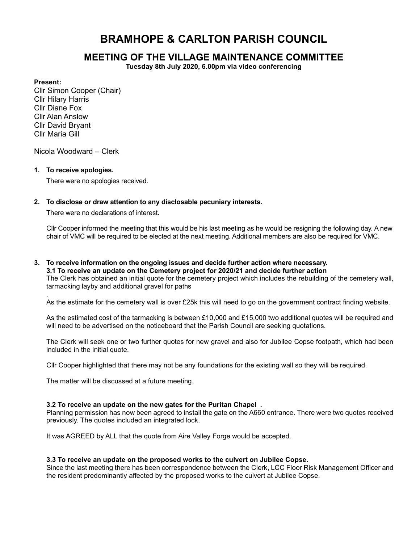# BRAMHOPE & CARLTON PARISH COUNCIL

## MEETING OF THE VILLAGE MAINTENANCE COMMITTEE

Tuesday 8th July 2020, 6.00pm via video conferencing

## Present:

.

Cllr Simon Cooper (Chair) Cllr Hilary Harris Cllr Diane Fox Cllr Alan Anslow Cllr David Bryant Cllr Maria Gill

Nicola Woodward – Clerk

## 1. To receive apologies.

There were no apologies received.

## 2. To disclose or draw attention to any disclosable pecuniary interests.

There were no declarations of interest.

Cllr Cooper informed the meeting that this would be his last meeting as he would be resigning the following day. A new chair of VMC will be required to be elected at the next meeting. Additional members are also be required for VMC.

3. To receive information on the ongoing issues and decide further action where necessary. 3.1 To receive an update on the Cemetery project for 2020/21 and decide further action The Clerk has obtained an initial quote for the cemetery project which includes the rebuilding of the cemetery wall, tarmacking layby and additional gravel for paths

As the estimate for the cemetery wall is over £25k this will need to go on the government contract finding website.

As the estimated cost of the tarmacking is between £10,000 and £15,000 two additional quotes will be required and will need to be advertised on the noticeboard that the Parish Council are seeking quotations.

The Clerk will seek one or two further quotes for new gravel and also for Jubilee Copse footpath, which had been included in the initial quote.

Cllr Cooper highlighted that there may not be any foundations for the existing wall so they will be required.

The matter will be discussed at a future meeting.

## 3.2 To receive an update on the new gates for the Puritan Chapel .

Planning permission has now been agreed to install the gate on the A660 entrance. There were two quotes received previously. The quotes included an integrated lock.

It was AGREED by ALL that the quote from Aire Valley Forge would be accepted.

## 3.3 To receive an update on the proposed works to the culvert on Jubilee Copse.

Since the last meeting there has been correspondence between the Clerk, LCC Floor Risk Management Officer and the resident predominantly affected by the proposed works to the culvert at Jubilee Copse.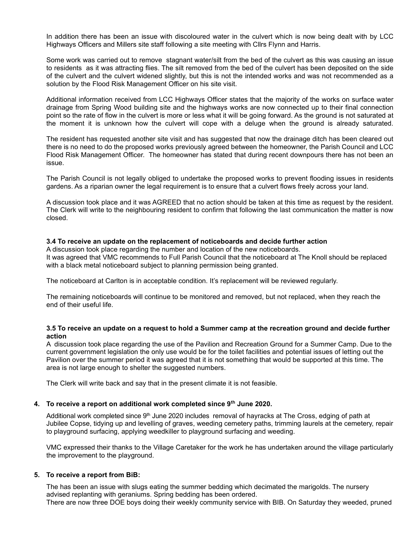In addition there has been an issue with discoloured water in the culvert which is now being dealt with by LCC Highways Officers and Millers site staff following a site meeting with Cllrs Flynn and Harris.

Some work was carried out to remove stagnant water/silt from the bed of the culvert as this was causing an issue to residents as it was attracting flies. The silt removed from the bed of the culvert has been deposited on the side of the culvert and the culvert widened slightly, but this is not the intended works and was not recommended as a solution by the Flood Risk Management Officer on his site visit.

Additional information received from LCC Highways Officer states that the majority of the works on surface water drainage from Spring Wood building site and the highways works are now connected up to their final connection point so the rate of flow in the culvert is more or less what it will be going forward. As the ground is not saturated at the moment it is unknown how the culvert will cope with a deluge when the ground is already saturated.

The resident has requested another site visit and has suggested that now the drainage ditch has been cleared out there is no need to do the proposed works previously agreed between the homeowner, the Parish Council and LCC Flood Risk Management Officer. The homeowner has stated that during recent downpours there has not been an issue.

The Parish Council is not legally obliged to undertake the proposed works to prevent flooding issues in residents gardens. As a riparian owner the legal requirement is to ensure that a culvert flows freely across your land.

A discussion took place and it was AGREED that no action should be taken at this time as request by the resident. The Clerk will write to the neighbouring resident to confirm that following the last communication the matter is now closed.

## 3.4 To receive an update on the replacement of noticeboards and decide further action

A discussion took place regarding the number and location of the new noticeboards. It was agreed that VMC recommends to Full Parish Council that the noticeboard at The Knoll should be replaced with a black metal noticeboard subject to planning permission being granted.

The noticeboard at Carlton is in acceptable condition. It's replacement will be reviewed regularly.

The remaining noticeboards will continue to be monitored and removed, but not replaced, when they reach the end of their useful life.

## 3.5 To receive an update on a request to hold a Summer camp at the recreation ground and decide further action

A discussion took place regarding the use of the Pavilion and Recreation Ground for a Summer Camp. Due to the current government legislation the only use would be for the toilet facilities and potential issues of letting out the Pavilion over the summer period it was agreed that it is not something that would be supported at this time. The area is not large enough to shelter the suggested numbers.

The Clerk will write back and say that in the present climate it is not feasible.

#### 4. To receive a report on additional work completed since 9<sup>th</sup> June 2020.

Additional work completed since 9<sup>th</sup> June 2020 includes removal of hayracks at The Cross, edging of path at Jubilee Copse, tidying up and levelling of graves, weeding cemetery paths, trimming laurels at the cemetery, repair to playground surfacing, applying weedkiller to playground surfacing and weeding.

VMC expressed their thanks to the Village Caretaker for the work he has undertaken around the village particularly the improvement to the playground.

## 5. To receive a report from BiB:

The has been an issue with slugs eating the summer bedding which decimated the marigolds. The nursery advised replanting with geraniums. Spring bedding has been ordered. There are now three DOE boys doing their weekly community service with BIB. On Saturday they weeded, pruned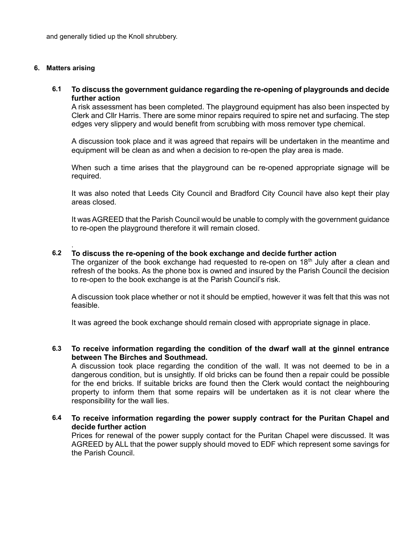and generally tidied up the Knoll shrubbery.

## 6. Matters arising

.

## 6.1 To discuss the government guidance regarding the re-opening of playgrounds and decide further action

A risk assessment has been completed. The playground equipment has also been inspected by Clerk and Cllr Harris. There are some minor repairs required to spire net and surfacing. The step edges very slippery and would benefit from scrubbing with moss remover type chemical.

A discussion took place and it was agreed that repairs will be undertaken in the meantime and equipment will be clean as and when a decision to re-open the play area is made.

When such a time arises that the playground can be re-opened appropriate signage will be required.

It was also noted that Leeds City Council and Bradford City Council have also kept their play areas closed.

It was AGREED that the Parish Council would be unable to comply with the government guidance to re-open the playground therefore it will remain closed.

## 6.2 To discuss the re-opening of the book exchange and decide further action

The organizer of the book exchange had requested to re-open on  $18<sup>th</sup>$  July after a clean and refresh of the books. As the phone box is owned and insured by the Parish Council the decision to re-open to the book exchange is at the Parish Council's risk.

A discussion took place whether or not it should be emptied, however it was felt that this was not feasible.

It was agreed the book exchange should remain closed with appropriate signage in place.

## 6.3 To receive information regarding the condition of the dwarf wall at the ginnel entrance between The Birches and Southmead.

A discussion took place regarding the condition of the wall. It was not deemed to be in a dangerous condition, but is unsightly. If old bricks can be found then a repair could be possible for the end bricks. If suitable bricks are found then the Clerk would contact the neighbouring property to inform them that some repairs will be undertaken as it is not clear where the responsibility for the wall lies.

## 6.4 To receive information regarding the power supply contract for the Puritan Chapel and decide further action

Prices for renewal of the power supply contact for the Puritan Chapel were discussed. It was AGREED by ALL that the power supply should moved to EDF which represent some savings for the Parish Council.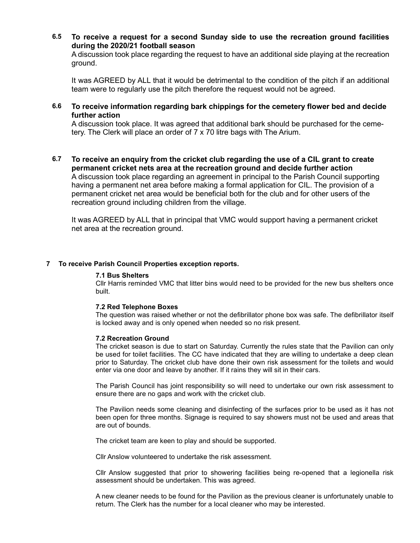6.5 To receive a request for a second Sunday side to use the recreation ground facilities during the 2020/21 football season

A discussion took place regarding the request to have an additional side playing at the recreation ground.

It was AGREED by ALL that it would be detrimental to the condition of the pitch if an additional team were to regularly use the pitch therefore the request would not be agreed.

6.6 To receive information regarding bark chippings for the cemetery flower bed and decide further action

A discussion took place. It was agreed that additional bark should be purchased for the cemetery. The Clerk will place an order of 7 x 70 litre bags with The Arium.

6.7 To receive an enquiry from the cricket club regarding the use of a CIL grant to create permanent cricket nets area at the recreation ground and decide further action A discussion took place regarding an agreement in principal to the Parish Council supporting having a permanent net area before making a formal application for CIL. The provision of a permanent cricket net area would be beneficial both for the club and for other users of the recreation ground including children from the village.

It was AGREED by ALL that in principal that VMC would support having a permanent cricket net area at the recreation ground.

## 7 To receive Parish Council Properties exception reports.

## 7.1 Bus Shelters

Cllr Harris reminded VMC that litter bins would need to be provided for the new bus shelters once built.

#### 7.2 Red Telephone Boxes

The question was raised whether or not the defibrillator phone box was safe. The defibrillator itself is locked away and is only opened when needed so no risk present.

#### 7.2 Recreation Ground

The cricket season is due to start on Saturday. Currently the rules state that the Pavilion can only be used for toilet facilities. The CC have indicated that they are willing to undertake a deep clean prior to Saturday. The cricket club have done their own risk assessment for the toilets and would enter via one door and leave by another. If it rains they will sit in their cars.

The Parish Council has joint responsibility so will need to undertake our own risk assessment to ensure there are no gaps and work with the cricket club.

The Pavilion needs some cleaning and disinfecting of the surfaces prior to be used as it has not been open for three months. Signage is required to say showers must not be used and areas that are out of bounds.

The cricket team are keen to play and should be supported.

Cllr Anslow volunteered to undertake the risk assessment.

Cllr Anslow suggested that prior to showering facilities being re-opened that a legionella risk assessment should be undertaken. This was agreed.

A new cleaner needs to be found for the Pavilion as the previous cleaner is unfortunately unable to return. The Clerk has the number for a local cleaner who may be interested.